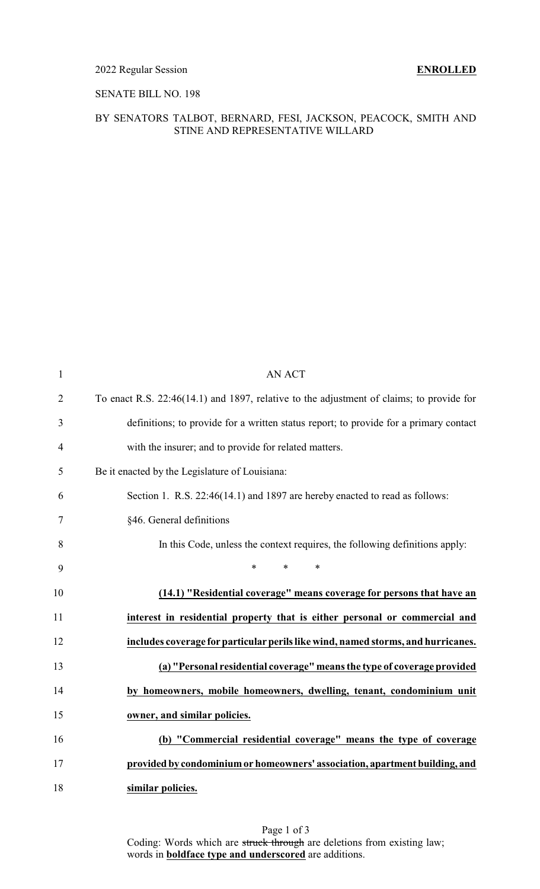### 2022 Regular Session **ENROLLED**

## SENATE BILL NO. 198

#### BY SENATORS TALBOT, BERNARD, FESI, JACKSON, PEACOCK, SMITH AND STINE AND REPRESENTATIVE WILLARD

| $\mathbf{1}$   | <b>AN ACT</b>                                                                            |
|----------------|------------------------------------------------------------------------------------------|
| $\overline{2}$ | To enact R.S. 22:46(14.1) and 1897, relative to the adjustment of claims; to provide for |
| 3              | definitions; to provide for a written status report; to provide for a primary contact    |
| $\overline{4}$ | with the insurer; and to provide for related matters.                                    |
| 5              | Be it enacted by the Legislature of Louisiana:                                           |
| 6              | Section 1. R.S. 22:46(14.1) and 1897 are hereby enacted to read as follows:              |
| 7              | §46. General definitions                                                                 |
| 8              | In this Code, unless the context requires, the following definitions apply:              |
| 9              | $\ast$<br>$\ast$<br>$\ast$                                                               |
| 10             | (14.1) "Residential coverage" means coverage for persons that have an                    |
| 11             | interest in residential property that is either personal or commercial and               |
| 12             | includes coverage for particular perils like wind, named storms, and hurricanes.         |
| 13             | (a) "Personal residential coverage" means the type of coverage provided                  |
| 14             | by homeowners, mobile homeowners, dwelling, tenant, condominium unit                     |
| 15             | owner, and similar policies.                                                             |
| 16             | (b) "Commercial residential coverage" means the type of coverage                         |
| 17             | provided by condominium or homeowners' association, apartment building, and              |
| 18             | similar policies.                                                                        |
|                |                                                                                          |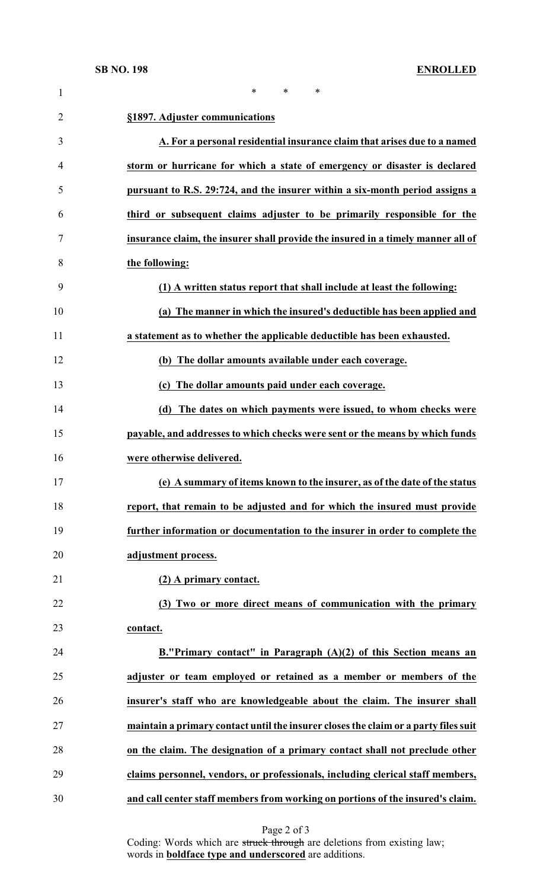| $\mathbf{1}$   | $\ast$<br>*<br>*                                                                    |
|----------------|-------------------------------------------------------------------------------------|
| $\overline{2}$ | §1897. Adjuster communications                                                      |
| 3              | A. For a personal residential insurance claim that arises due to a named            |
| 4              | storm or hurricane for which a state of emergency or disaster is declared           |
| 5              | pursuant to R.S. 29:724, and the insurer within a six-month period assigns a        |
| 6              | third or subsequent claims adjuster to be primarily responsible for the             |
| 7              | insurance claim, the insurer shall provide the insured in a timely manner all of    |
| 8              | the following:                                                                      |
| 9              | (1) A written status report that shall include at least the following:              |
| 10             | (a) The manner in which the insured's deductible has been applied and               |
| 11             | a statement as to whether the applicable deductible has been exhausted.             |
| 12             | (b) The dollar amounts available under each coverage.                               |
| 13             | (c) The dollar amounts paid under each coverage.                                    |
| 14             | (d) The dates on which payments were issued, to whom checks were                    |
| 15             | payable, and addresses to which checks were sent or the means by which funds        |
| 16             | were otherwise delivered.                                                           |
| 17             | (e) A summary of items known to the insurer, as of the date of the status           |
| 18             | report, that remain to be adjusted and for which the insured must provide           |
| 19             | further information or documentation to the insurer in order to complete the        |
| 20             | adjustment process.                                                                 |
| 21             | (2) A primary contact.                                                              |
| 22             | (3) Two or more direct means of communication with the primary                      |
| 23             | contact.                                                                            |
| 24             | B."Primary contact" in Paragraph $(A)(2)$ of this Section means an                  |
| 25             | adjuster or team employed or retained as a member or members of the                 |
| 26             | insurer's staff who are knowledgeable about the claim. The insurer shall            |
| 27             | maintain a primary contact until the insurer closes the claim or a party files suit |
| 28             | on the claim. The designation of a primary contact shall not preclude other         |
| 29             | claims personnel, vendors, or professionals, including clerical staff members,      |
| 30             | and call center staff members from working on portions of the insured's claim.      |

Coding: Words which are struck through are deletions from existing law; words in **boldface type and underscored** are additions.